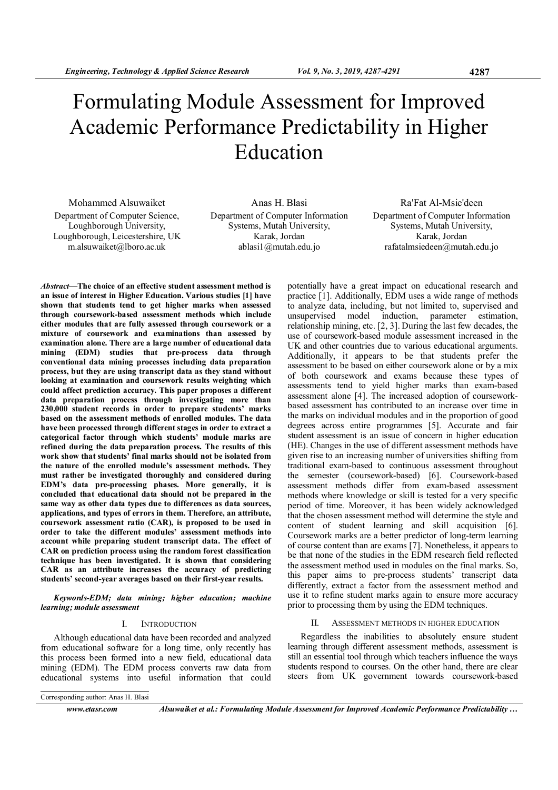# Formulating Module Assessment for Improved Academic Performance Predictability in Higher Education

Mohammed Alsuwaiket Department of Computer Science, Loughborough University, Loughborough, Leicestershire, UK m.alsuwaiket@lboro.ac.uk

Anas H. Blasi Department of Computer Information Systems, Mutah University, Karak, Jordan ablasi1@mutah.edu.jo

Ra'Fat Al-Msie'deen Department of Computer Information Systems, Mutah University, Karak, Jordan rafatalmsiedeen@mutah.edu.jo

Abstract—The choice of an effective student assessment method is an issue of interest in Higher Education. Various studies [1] have shown that students tend to get higher marks when assessed through coursework-based assessment methods which include either modules that are fully assessed through coursework or a mixture of coursework and examinations than assessed by examination alone. There are a large number of educational data mining (EDM) studies that pre-process data through conventional data mining processes including data preparation process, but they are using transcript data as they stand without looking at examination and coursework results weighting which could affect prediction accuracy. This paper proposes a different data preparation process through investigating more than 230,000 student records in order to prepare students' marks based on the assessment methods of enrolled modules. The data have been processed through different stages in order to extract a categorical factor through which students' module marks are refined during the data preparation process. The results of this work show that students' final marks should not be isolated from the nature of the enrolled module's assessment methods. They must rather be investigated thoroughly and considered during EDM's data pre-processing phases. More generally, it is concluded that educational data should not be prepared in the same way as other data types due to differences as data sources, applications, and types of errors in them. Therefore, an attribute, coursework assessment ratio (CAR), is proposed to be used in order to take the different modules' assessment methods into account while preparing student transcript data. The effect of CAR on prediction process using the random forest classification technique has been investigated. It is shown that considering CAR as an attribute increases the accuracy of predicting students' second-year averages based on their first-year results.

Keywords-EDM; data mining; higher education; machine learning; module assessment

## I. INTRODUCTION

Although educational data have been recorded and analyzed from educational software for a long time, only recently has this process been formed into a new field, educational data mining (EDM). The EDM process converts raw data from educational systems into useful information that could

Corresponding author: Anas H. Blasi

www.etasr.com Alsuwaiket et al.: Formulating Module Assessment for Improved Academic Performance Predictability ...

potentially have a great impact on educational research and practice [1]. Additionally, EDM uses a wide range of methods to analyze data, including, but not limited to, supervised and model induction, parameter estimation, relationship mining, etc. [2, 3]. During the last few decades, the use of coursework-based module assessment increased in the UK and other countries due to various educational arguments. Additionally, it appears to be that students prefer the assessment to be based on either coursework alone or by a mix of both coursework and exams because these types of assessments tend to yield higher marks than exam-based assessment alone [4]. The increased adoption of courseworkbased assessment has contributed to an increase over time in the marks on individual modules and in the proportion of good degrees across entire programmes [5]. Accurate and fair student assessment is an issue of concern in higher education (HE). Changes in the use of different assessment methods have given rise to an increasing number of universities shifting from traditional exam-based to continuous assessment throughout the semester (coursework-based) [6]. Coursework-based assessment methods differ from exam-based assessment methods where knowledge or skill is tested for a very specific period of time. Moreover, it has been widely acknowledged that the chosen assessment method will determine the style and content of student learning and skill acquisition [6]. Coursework marks are a better predictor of long-term learning of course content than are exams [7]. Nonetheless, it appears to be that none of the studies in the EDM research field reflected the assessment method used in modules on the final marks. So, this paper aims to pre-process students' transcript data differently, extract a factor from the assessment method and use it to refine student marks again to ensure more accuracy prior to processing them by using the EDM techniques.

#### II. ASSESSMENT METHODS IN HIGHER EDUCATION

Regardless the inabilities to absolutely ensure student learning through different assessment methods, assessment is still an essential tool through which teachers influence the ways students respond to courses. On the other hand, there are clear steers from UK government towards coursework-based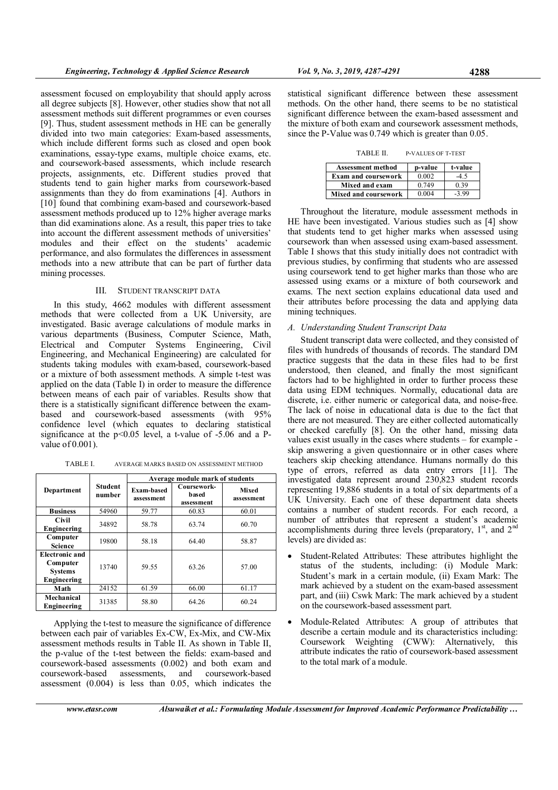assessment focused on employability that should apply across all degree subjects [8]. However, other studies show that not all assessment methods suit different programmes or even courses [9]. Thus, student assessment methods in HE can be generally divided into two main categories: Exam-based assessments, which include different forms such as closed and open book examinations, essay-type exams, multiple choice exams, etc. and coursework-based assessments, which include research projects, assignments, etc. Different studies proved that students tend to gain higher marks from coursework-based assignments than they do from examinations [4]. Authors in [10] found that combining exam-based and coursework-based assessment methods produced up to 12% higher average marks than did examinations alone. As a result, this paper tries to take into account the different assessment methods of universities' modules and their effect on the students' academic performance, and also formulates the differences in assessment methods into a new attribute that can be part of further data mining processes.

## III. STUDENT TRANSCRIPT DATA

In this study, 4662 modules with different assessment methods that were collected from a UK University, are investigated. Basic average calculations of module marks in various departments (Business, Computer Science, Math, Electrical and Computer Systems Engineering, Civil Engineering, and Mechanical Engineering) are calculated for students taking modules with exam-based, coursework-based or a mixture of both assessment methods. A simple t-test was applied on the data (Table I) in order to measure the difference between means of each pair of variables. Results show that there is a statistically significant difference between the exambased and coursework-based assessments (with 95% confidence level (which equates to declaring statistical significance at the p<0.05 level, a t-value of -5.06 and a Pvalue of 0.001).

| TABLE I. | AVERAGE MARKS BASED ON ASSESSMENT METHOD |
|----------|------------------------------------------|
|----------|------------------------------------------|

|                                                                    |                          | Average module mark of students |                                    |                     |  |  |  |  |  |
|--------------------------------------------------------------------|--------------------------|---------------------------------|------------------------------------|---------------------|--|--|--|--|--|
| Department                                                         | <b>Student</b><br>number | Exam-based<br>assessment        | Coursework-<br>based<br>assessment | Mixed<br>assessment |  |  |  |  |  |
| <b>Business</b>                                                    | 54960                    | 59.77                           | 60.83                              | 60.01               |  |  |  |  |  |
| Civil<br>Engineering                                               | 34892                    | 58.78                           | 63.74                              | 60.70               |  |  |  |  |  |
| Computer<br><b>Science</b>                                         | 19800                    |                                 | 64.40                              | 58.87               |  |  |  |  |  |
| <b>Electronic and</b><br>Computer<br><b>Systems</b><br>Engineering | 13740                    |                                 | 63.26                              | 57.00               |  |  |  |  |  |
| Math                                                               | 24152                    |                                 | 66.00                              | 61.17               |  |  |  |  |  |
| Mechanical<br>Engineering                                          | 31385                    |                                 | 64.26                              | 60.24               |  |  |  |  |  |

Applying the t-test to measure the significance of difference between each pair of variables Ex-CW, Ex-Mix, and CW-Mix assessment methods results in Table II. As shown in Table II, the p-value of the t-test between the fields: exam-based and coursework-based assessments (0.002) and both exam and coursework-based assessments, and coursework-based assessment (0.004) is less than 0.05, which indicates the statistical significant difference between these assessment methods. On the other hand, there seems to be no statistical significant difference between the exam-based assessment and the mixture of both exam and coursework assessment methods, since the P-Value was 0.749 which is greater than 0.05.

TABLE II. P-VALUES OF T-TEST

| <b>Assessment method</b>    | p-value | t-value |
|-----------------------------|---------|---------|
| <b>Exam and coursework</b>  | 0.002   | $-45$   |
| Mixed and exam              | 0.749   | 0.39    |
| <b>Mixed and coursework</b> | 0.004   | $-3.99$ |

Throughout the literature, module assessment methods in HE have been investigated. Various studies such as [4] show that students tend to get higher marks when assessed using coursework than when assessed using exam-based assessment. Table I shows that this study initially does not contradict with previous studies, by confirming that students who are assessed using coursework tend to get higher marks than those who are assessed using exams or a mixture of both coursework and exams. The next section explains educational data used and their attributes before processing the data and applying data mining techniques.

## A. Understanding Student Transcript Data

Student transcript data were collected, and they consisted of files with hundreds of thousands of records. The standard DM practice suggests that the data in these files had to be first understood, then cleaned, and finally the most significant factors had to be highlighted in order to further process these data using EDM techniques. Normally, educational data are discrete, i.e. either numeric or categorical data, and noise-free. The lack of noise in educational data is due to the fact that there are not measured. They are either collected automatically or checked carefully [8]. On the other hand, missing data values exist usually in the cases where students – for example skip answering a given questionnaire or in other cases where teachers skip checking attendance. Humans normally do this type of errors, referred as data entry errors [11]. The investigated data represent around 230,823 student records representing 19,886 students in a total of six departments of a UK University. Each one of these department data sheets contains a number of student records. For each record, a number of attributes that represent a student's academic accomplishments during three levels (preparatory,  $1<sup>st</sup>$ , and  $2<sup>nd</sup>$ levels) are divided as:

- Student-Related Attributes: These attributes highlight the status of the students, including: (i) Module Mark: Student's mark in a certain module, (ii) Exam Mark: The mark achieved by a student on the exam-based assessment part, and (iii) Cswk Mark: The mark achieved by a student on the coursework-based assessment part.
- Module-Related Attributes: A group of attributes that describe a certain module and its characteristics including: Coursework Weighting (CWW): Alternatively, this attribute indicates the ratio of coursework-based assessment to the total mark of a module.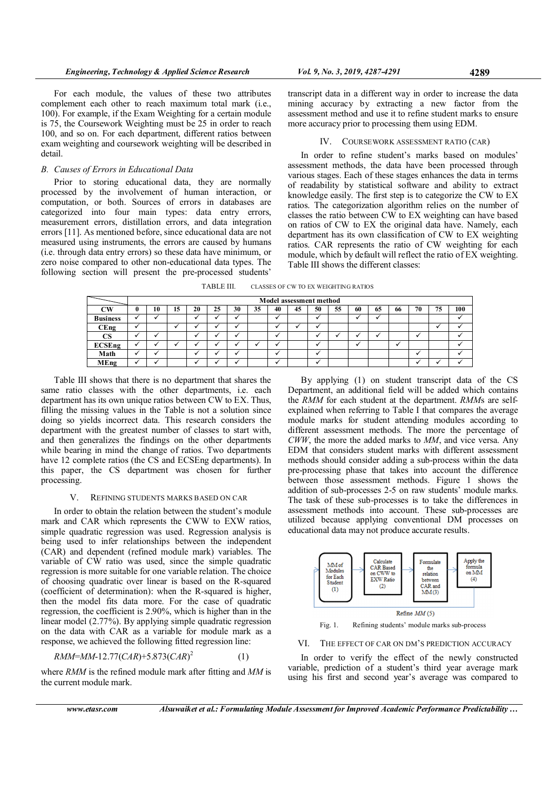For each module, the values of these two attributes complement each other to reach maximum total mark (i.e., 100). For example, if the Exam Weighting for a certain module is 75, the Coursework Weighting must be 25 in order to reach 100, and so on. For each department, different ratios between exam weighting and coursework weighting will be described in detail.

## B. Causes of Errors in Educational Data

Prior to storing educational data, they are normally processed by the involvement of human interaction, or computation, or both. Sources of errors in databases are categorized into four main types: data entry errors, measurement errors, distillation errors, and data integration errors [11]. As mentioned before, since educational data are not measured using instruments, the errors are caused by humans (i.e. through data entry errors) so these data have minimum, or zero noise compared to other non-educational data types. The following section will present the pre-processed students'

transcript data in a different way in order to increase the data mining accuracy by extracting a new factor from the assessment method and use it to refine student marks to ensure more accuracy prior to processing them using EDM.

#### IV. COURSEWORK ASSESSMENT RATIO (CAR)

In order to refine student's marks based on modules' assessment methods, the data have been processed through various stages. Each of these stages enhances the data in terms of readability by statistical software and ability to extract knowledge easily. The first step is to categorize the CW to EX ratios. The categorization algorithm relies on the number of classes the ratio between CW to EX weighting can have based on ratios of CW to EX the original data have. Namely, each department has its own classification of CW to EX weighting ratios. CAR represents the ratio of CW weighting for each module, which by default will reflect the ratio of EX weighting. Table III shows the different classes:

TABLE III. CLASSES OF CW TO EX WEIGHTING RATIOS

|                 |   | <b>Model assessment method</b> |    |    |    |    |    |    |    |    |    |    |    |    |    |    |     |
|-----------------|---|--------------------------------|----|----|----|----|----|----|----|----|----|----|----|----|----|----|-----|
| CW              | 0 | 10                             | 15 | 20 | 25 | 30 | 35 | 40 | 45 | 50 | 55 | 60 | 65 | 66 | 70 | 75 | 100 |
| <b>Business</b> |   |                                |    |    |    |    |    |    |    |    |    |    |    |    |    |    |     |
| <b>CEng</b>     |   |                                |    |    |    |    |    |    |    |    |    |    |    |    |    |    |     |
| CS              |   |                                |    |    |    |    |    |    |    |    |    |    |    |    |    |    |     |
| <b>ECSEng</b>   |   |                                |    |    |    |    |    |    |    |    |    |    |    |    |    |    |     |
| Math            |   |                                |    |    |    |    |    |    |    |    |    |    |    |    |    |    |     |
| <b>MEng</b>     |   |                                |    |    |    |    |    |    |    |    |    |    |    |    |    |    |     |

Table III shows that there is no department that shares the same ratio classes with the other departments, i.e. each department has its own unique ratios between CW to EX. Thus, filling the missing values in the Table is not a solution since doing so yields incorrect data. This research considers the department with the greatest number of classes to start with, and then generalizes the findings on the other departments while bearing in mind the change of ratios. Two departments have 12 complete ratios (the CS and ECSEng departments). In this paper, the CS department was chosen for further processing.

### V. REFINING STUDENTS MARKS BASED ON CAR

In order to obtain the relation between the student's module mark and CAR which represents the CWW to EXW ratios, simple quadratic regression was used. Regression analysis is being used to infer relationships between the independent (CAR) and dependent (refined module mark) variables. The variable of CW ratio was used, since the simple quadratic regression is more suitable for one variable relation. The choice of choosing quadratic over linear is based on the R-squared (coefficient of determination): when the R-squared is higher, then the model fits data more. For the case of quadratic regression, the coefficient is 2.90%, which is higher than in the linear model (2.77%). By applying simple quadratic regression on the data with CAR as a variable for module mark as a response, we achieved the following fitted regression line:

$$
RMM=MM-12.77(CAR)+5.873(CAR)^2\tag{1}
$$

where RMM is the refined module mark after fitting and MM is the current module mark.

By applying (1) on student transcript data of the CS Department, an additional field will be added which contains the RMM for each student at the department. RMMs are selfexplained when referring to Table I that compares the average module marks for student attending modules according to different assessment methods. The more the percentage of CWW, the more the added marks to MM, and vice versa. Any EDM that considers student marks with different assessment methods should consider adding a sub-process within the data pre-processing phase that takes into account the difference between those assessment methods. Figure 1 shows the addition of sub-processes 2-5 on raw students' module marks. The task of these sub-processes is to take the differences in assessment methods into account. These sub-processes are utilized because applying conventional DM processes on educational data may not produce accurate results.



Fig. 1. Refining students' module marks sub-process

## VI. THE EFFECT OF CAR ON DM'S PREDICTION ACCURACY

In order to verify the effect of the newly constructed variable, prediction of a student's third year average mark using his first and second year's average was compared to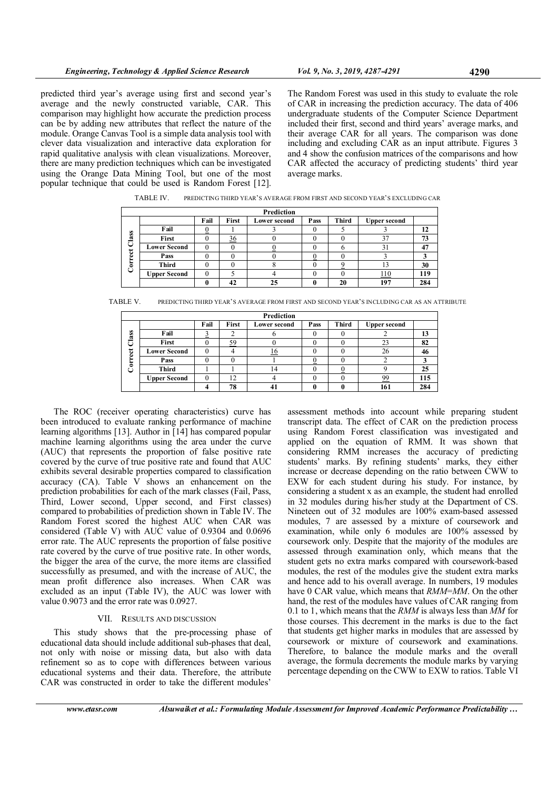predicted third year's average using first and second year's average and the newly constructed variable, CAR. This comparison may highlight how accurate the prediction process can be by adding new attributes that reflect the nature of the module. Orange Canvas Tool is a simple data analysis tool with clever data visualization and interactive data exploration for rapid qualitative analysis with clean visualizations. Moreover, there are many prediction techniques which can be investigated using the Orange Data Mining Tool, but one of the most popular technique that could be used is Random Forest [12].

The Random Forest was used in this study to evaluate the role of CAR in increasing the prediction accuracy. The data of 406 undergraduate students of the Computer Science Department included their first, second and third years' average marks, and their average CAR for all years. The comparison was done including and excluding CAR as an input attribute. Figures 3 and 4 show the confusion matrices of the comparisons and how CAR affected the accuracy of predicting students' third year average marks.

TABLE IV. PREDICTING THIRD YEAR'S AVERAGE FROM FIRST AND SECOND YEAR'S EXCLUDING CAR

|     | Prediction          |      |                |                     |      |       |                     |     |
|-----|---------------------|------|----------------|---------------------|------|-------|---------------------|-----|
|     |                     | Fail | First          | <b>Lower second</b> | Pass | Third | <b>Upper second</b> |     |
|     | Fail                |      |                |                     |      |       |                     | 12  |
| ass | First               |      | $\frac{36}{5}$ |                     |      |       | 37                  | 73  |
| ت   | <b>Lower Second</b> | 0    |                |                     |      |       | 31                  | 47  |
| g   | Pass                |      |                |                     |      |       |                     |     |
| ۰   | <b>Third</b>        |      |                |                     |      |       |                     | 30  |
|     | <b>Upper Second</b> | C    |                |                     |      |       | <u>110</u>          | 119 |
|     |                     | 0    |                | 25                  |      | 20    | 197                 | 284 |

TABLE V. PREDICTING THIRD YEAR'S AVERAGE FROM FIRST AND SECOND YEAR'S INCLUDING CAR AS AN ATTRIBUTE

|         | Prediction          |      |           |                     |      |              |                     |     |
|---------|---------------------|------|-----------|---------------------|------|--------------|---------------------|-----|
|         |                     | Fail | First     | <b>Lower second</b> | Pass | <b>Third</b> | <b>Upper second</b> |     |
| S<br>œ  | Fail                |      |           |                     |      |              |                     | 13  |
|         | First               |      | <u>59</u> | v                   |      |              | 23                  | 82  |
| ಕ<br>نه | <b>Lower Second</b> |      |           | <u>16</u>           |      |              | 26                  | 46  |
| ă       | Pass                |      |           |                     |      |              |                     |     |
|         | <b>Third</b>        |      |           | 14                  |      |              |                     | 25  |
|         | <b>Upper Second</b> |      | $\bigcap$ |                     |      |              | 99                  | 115 |
|         |                     |      | 78        | ч.                  |      |              | 161                 | 284 |

The ROC (receiver operating characteristics) curve has been introduced to evaluate ranking performance of machine learning algorithms [13]. Author in [14] has compared popular machine learning algorithms using the area under the curve (AUC) that represents the proportion of false positive rate covered by the curve of true positive rate and found that AUC exhibits several desirable properties compared to classification accuracy (CA). Table V shows an enhancement on the prediction probabilities for each of the mark classes (Fail, Pass, Third, Lower second, Upper second, and First classes) compared to probabilities of prediction shown in Table IV. The Random Forest scored the highest AUC when CAR was considered (Table V) with AUC value of 0.9304 and 0.0696 error rate. The AUC represents the proportion of false positive rate covered by the curve of true positive rate. In other words, the bigger the area of the curve, the more items are classified successfully as presumed, and with the increase of AUC, the mean profit difference also increases. When CAR was excluded as an input (Table IV), the AUC was lower with value 0.9073 and the error rate was 0.0927.

## VII. RESULTS AND DISCUSSION

This study shows that the pre-processing phase of educational data should include additional sub-phases that deal, not only with noise or missing data, but also with data refinement so as to cope with differences between various educational systems and their data. Therefore, the attribute CAR was constructed in order to take the different modules'

assessment methods into account while preparing student transcript data. The effect of CAR on the prediction process using Random Forest classification was investigated and applied on the equation of RMM. It was shown that considering RMM increases the accuracy of predicting students' marks. By refining students' marks, they either increase or decrease depending on the ratio between CWW to EXW for each student during his study. For instance, by considering a student x as an example, the student had enrolled in 32 modules during his/her study at the Department of CS. Nineteen out of 32 modules are 100% exam-based assessed modules, 7 are assessed by a mixture of coursework and examination, while only 6 modules are 100% assessed by coursework only. Despite that the majority of the modules are assessed through examination only, which means that the student gets no extra marks compared with coursework-based modules, the rest of the modules give the student extra marks and hence add to his overall average. In numbers, 19 modules have 0 CAR value, which means that *RMM=MM*. On the other hand, the rest of the modules have values of CAR ranging from 0.1 to 1, which means that the  $RMM$  is always less than  $\overline{MM}$  for those courses. This decrement in the marks is due to the fact that students get higher marks in modules that are assessed by coursework or mixture of coursework and examinations. Therefore, to balance the module marks and the overall average, the formula decrements the module marks by varying percentage depending on the CWW to EXW to ratios. Table VI